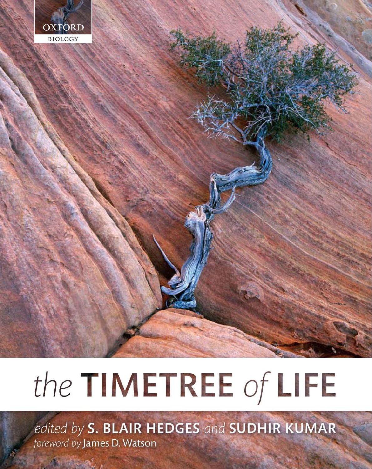

# the TIMETREE of LIFE

edited by S. BLAIR HEDGES and SUDHIR KUMAR foreword by James D. Watson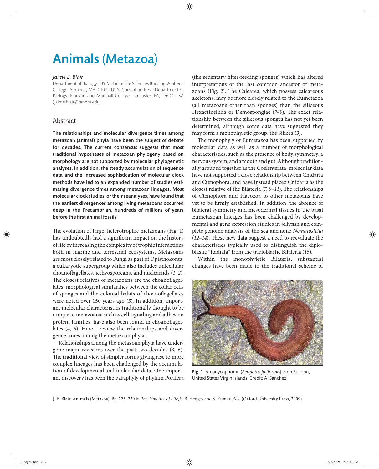# Animals (Metazoa)

#### *Jaime E. Blair*

Department of Biology, 139 McGuire Life Sciences Building, Amherst College, Amherst, MA, 01002 USA. Current address: Department of Biology, Franklin and Marshall College, Lancaster, PA, 17604 USA (jaime.blair@fandm.edu)

# Abstract

The relationships and molecular divergence times among metazoan (animal) phyla have been the subject of debate for decades. The current consensus suggests that most traditional hypotheses of metazoan phylogeny based on morphology are not supported by molecular phylogenetic analyses. In addition, the steady accumulation of sequence data and the increased sophistication of molecular clock methods have led to an expanded number of studies estimating divergence times among metazoan lineages. Most molecular clock studies, or their reanalyses, have found that the earliest divergences among living metazoans occurred deep in the Precambrian, hundreds of millions of years before the first animal fossils.

The evolution of large, heterotrophic metazoans (Fig. 1) has undoubtedly had a significant impact on the history of life by increasing the complexity of trophic interactions both in marine and terrestrial ecosystems. Metazoans are most closely related to Fungi as part of Opisthokonta, a eukaryotic supergroup which also includes unicellular choanoflagellates, icthyosporeans, and nucleariids (1, 2). The closest relatives of metazoans are the choanoflagellates; morphological similarities between the collar cells of sponges and the colonial habits of choanoflagellates were noted over 150 years ago (*3*). In addition, important molecular characteristics traditionally thought to be unique to metazoans, such as cell signaling and adhesion protein families, have also been found in choanoflagellates (*4, 5*). Here I review the relationships and divergence times among the metazoan phyla.

Relationships among the metazoan phyla have undergone major revisions over the past two decades (*3, 6*). The traditional view of simpler forms giving rise to more complex lineages has been challenged by the accumulation of developmental and molecular data. One important discovery has been the paraphyly of phylum Porifera

(the sedentary filter-feeding sponges) which has altered interpretations of the last common ancestor of metazoans (Fig. 2). The Calcarea, which possess calcareous skeletons, may be more closely related to the Eumetazoa (all metazoans other than sponges) than the siliceous Hexactinellida or Demospongiae (7-9). The exact relationship between the siliceous sponges has not yet been determined, although some data have suggested they may form a monophyletic group, the Silicea (*3*).

The monophyly of Eumetazoa has been supported by molecular data as well as a number of morphological characteristics, such as the presence of body symmetry, a nervous system, and a mouth and gut. Although traditionally grouped together as the Coelenterata, molecular data have not supported a close relationship between Cnidaria and Ctenophora, and have instead placed Cnidaria as the closest relative of the Bilateria (*7, 9–11*). The relationships of Ctenophora and Placozoa to other metazoans have yet to be firmly established. In addition, the absence of bilateral symmetry and mesodermal tissues in the basal Eumetazoan lineages has been challenged by developmental and gene expression studies in jellyfish and complete genome analysis of the sea anemone *Nematostella* (12-14). These new data suggest a need to reevaluate the characteristics typically used to distinguish the diploblastic "Radiata" from the triploblastic Bilateria (*15*).

Within the monophyletic Bilateria, substantial changes have been made to the traditional scheme of



Fig. 1 An onycophoran (*Peripatus juliformis*) from St. John, United States Virgin Islands. Credit: A. Sanchez.

J. E. Blair. Animals (Metazoa). Pp. 223-230 in *The Timetree of Life*, S. B. Hedges and S. Kumar, Eds. (Oxford University Press, 2009).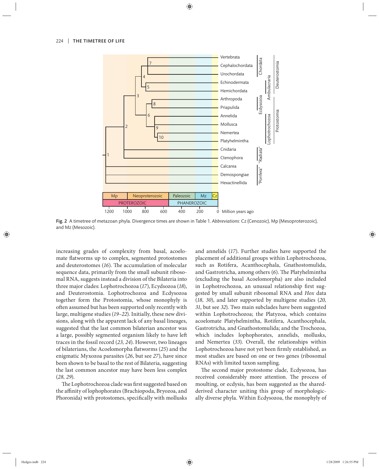

Fig. 2 A timetree of metazoan phyla. Divergence times are shown in Table 1. *Abbreviations*: Cz (Cenozoic), Mp (Mesoproterozoic), and Mz (Mesozoic).

increasing grades of complexity from basal, acoelomate flatworms up to complex, segmented protostomes and deuterostomes (16). The accumulation of molecular sequence data, primarily from the small subunit ribosomal RNA, suggests instead a division of the Bilateria into three major clades: Lophotrochozoa (*17*), Ecydsozoa (*18*), and Deuterostomia. Lophotrochozoa and Ecdysozoa together form the Protostomia, whose monophyly is often assumed but has been supported only recently with large, multigene studies (*19–22*). Initially, these new divisions, along with the apparent lack of any basal lineages, suggested that the last common bilaterian ancestor was a large, possibly segmented organism likely to have left traces in the fossil record (*23, 24*). However, two lineages of bilaterians, the Acoelomorpha flatworms (25) and the enigmatic Myxozoa parasites (*26*, but see *27*), have since been shown to be basal to the rest of Bilateria, suggesting the last common ancestor may have been less complex (*28, 29*).

The Lophotrochozoa clade was first suggested based on the affinity of lophophorates (Brachiopoda, Bryozoa, and Phoronida) with protostomes, specifically with mollusks and annelids (*17*). Further studies have supported the placement of additional groups within Lophotrochozoa, such as Rotifera, Acanthocephala, Gnathostomulida, and Gastrotricha, among others (6). The Platyhelmintha (excluding the basal Acoelomorpha) are also included in Lophotrochozoa, an unusual relationship first suggested by small subunit ribosomal RNA and *Hox* data (18, 30), and later supported by multigene studies (20, *31*, but see *32*). Two main subclades have been suggested within Lophotrochozoa; the Platyzoa, which contains acoelomate Platyhelmintha, Rotifera, Acanthocephala, Gastrotricha, and Gnathostomulida; and the Trochozoa, which includes lophophorates, annelids, mollusks, and Nemertea (*33*). Overall, the relationships within Lophotrochozoa have not yet been firmly established, as most studies are based on one or two genes (ribosomal RNAs) with limited taxon sampling.

The second major protostome clade, Ecdysozoa, has received considerably more attention. The process of moulting, or ecdysis, has been suggested as the sharedderived character uniting this group of morphologically diverse phyla. Within Ecdysozoa, the monophyly of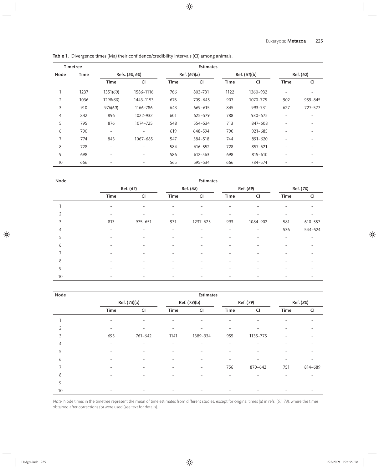|  |  |  | Table 1. Divergence times (Ma) their confidence/credibility intervals (CI) among animals. |  |  |
|--|--|--|-------------------------------------------------------------------------------------------|--|--|
|--|--|--|-------------------------------------------------------------------------------------------|--|--|

| <b>Timetree</b> |      | <b>Estimates</b>         |                          |             |              |             |              |                          |           |  |
|-----------------|------|--------------------------|--------------------------|-------------|--------------|-------------|--------------|--------------------------|-----------|--|
| Node            | Time |                          | Refs. (50, 60)           |             | Ref. (61)(a) |             | Ref. (61)(b) |                          | Ref. (62) |  |
|                 |      | <b>Time</b>              | CI                       | <b>Time</b> | CI           | <b>Time</b> | CI           | <b>Time</b>              | CI        |  |
|                 | 1237 | 1351(60)                 | 1586-1116                | 766         | 803-731      | 1122        | 1360-932     | $\overline{\phantom{0}}$ |           |  |
| 2               | 1036 | 1298(60)                 | 1443-1153                | 676         | 709-645      | 907         | 1070-775     | 902                      | 959-845   |  |
| 3               | 910  | 976(60)                  | 1166-786                 | 643         | 669-615      | 845         | 993-731      | 627                      | 727-527   |  |
| 4               | 842  | 896                      | 1022-932                 | 601         | 625-579      | 788         | $930 - 675$  | $\overline{a}$           |           |  |
| 5               | 795  | 876                      | 1074-725                 | 548         | 554-534      | 713         | 847-608      |                          |           |  |
| 6               | 790  | $\overline{\phantom{m}}$ | $\overline{\phantom{m}}$ | 619         | 648-594      | 790         | $921 - 685$  | ۰                        |           |  |
| 7               | 774  | 843                      | 1067-685                 | 547         | 584-518      | 744         | 891-620      |                          |           |  |
| 8               | 728  | -                        |                          | 584         | 616-552      | 728         | 857-621      |                          |           |  |
| 9               | 698  | $\overline{\phantom{0}}$ | $\overline{\phantom{0}}$ | 586         | 612-563      | 698         | $815 - 610$  |                          |           |  |
| 10              | 666  | $\overline{\phantom{0}}$ | $\qquad \qquad$          | 565         | 595-534      | 666         | 784-574      |                          |           |  |

| Node           | <b>Estimates</b>         |                          |                          |                          |                          |                          |                 |           |
|----------------|--------------------------|--------------------------|--------------------------|--------------------------|--------------------------|--------------------------|-----------------|-----------|
|                | Ref. (67)                |                          | Ref. (68)                |                          | Ref. (69)                |                          | Ref. (70)       |           |
|                | Time                     | <b>CI</b>                | Time                     | <b>CI</b>                | Time                     | <b>CI</b>                | Time            | <b>CI</b> |
|                | $\overline{\phantom{0}}$ | ۰                        | $\overline{\phantom{0}}$ |                          |                          |                          |                 |           |
| $\overline{2}$ | $\overline{\phantom{0}}$ | $\overline{\phantom{0}}$ | $\qquad \qquad -$        | -                        | $\overline{\phantom{0}}$ | $\overline{\phantom{0}}$ | -               |           |
| 3              | 813                      | $975 - 651$              | 931                      | 1237-625                 | 993                      | 1084-902                 | 581             | 610-557   |
| 4              | $\overline{\phantom{0}}$ |                          |                          |                          |                          | -                        | 536             | 544-524   |
| 5              | $\overline{\phantom{0}}$ | $\overline{\phantom{0}}$ | $\qquad \qquad -$        | $\overline{\phantom{0}}$ | $\overline{\phantom{0}}$ | -                        | $\qquad \qquad$ |           |
| 6              |                          | $\overline{\phantom{0}}$ | $\overline{\phantom{0}}$ | $\overline{\phantom{0}}$ | $\overline{\phantom{0}}$ |                          |                 |           |
| 7              |                          |                          | $\overline{\phantom{0}}$ |                          |                          |                          |                 |           |
| 8              | -                        | $\overline{\phantom{0}}$ | $\qquad \qquad -$        | $\overline{\phantom{0}}$ | $\overline{\phantom{0}}$ | $\overline{\phantom{0}}$ |                 |           |
| 9              |                          |                          | $\overline{\phantom{0}}$ |                          |                          |                          |                 |           |
| 10             | $\overline{\phantom{0}}$ |                          | $\overline{\phantom{0}}$ |                          |                          |                          |                 |           |

| Node           | <b>Estimates</b> |                          |              |                          |                          |           |           |           |
|----------------|------------------|--------------------------|--------------|--------------------------|--------------------------|-----------|-----------|-----------|
|                | Ref. (73)(a)     |                          | Ref. (73)(b) |                          | Ref. (79)                |           | Ref. (80) |           |
|                | Time             | CI                       | Time         | <b>CI</b>                | Time                     | <b>CI</b> | Time      | <b>CI</b> |
|                |                  |                          |              |                          |                          |           |           |           |
| $\overline{2}$ |                  |                          | -            | ۰                        | -                        |           |           |           |
| 3              | 695              | 761-642                  | 1141         | 1389-934                 | 955                      | 1135-775  |           |           |
| 4              | $\qquad \qquad$  | $\overline{\phantom{0}}$ | -            | $\overline{\phantom{0}}$ | $\overline{\phantom{0}}$ |           |           |           |
| 5              |                  |                          |              |                          |                          |           |           |           |
| 6              |                  |                          |              |                          | -                        |           |           |           |
| 7              |                  |                          | -            | $\overline{\phantom{0}}$ | 756                      | 870-642   | 751       | 814-689   |
| 8              |                  |                          |              |                          |                          |           |           |           |
| 9              | -                |                          | -            | -                        |                          |           |           |           |
| 10             |                  |                          |              |                          |                          |           |           |           |

Note: Node times in the timetree represent the mean of time estimates from different studies, except for original times (a) in refs. (61, 73), where the times obtained after corrections (b) were used (see text for details).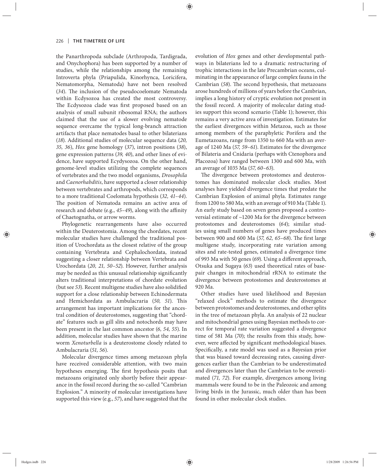the Panarthropoda subclade (Arthropoda, Tardigrada, and Onychophora) has been supported by a number of studies, while the relationships among the remaining Introverta phyla (Priapulida, Kinorhynca, Loricifera, Nematomorpha, Nematoda) have not been resolved (34). The inclusion of the pseudocoelomate Nematoda within Ecdysozoa has created the most controversy. The Ecdysozoa clade was first proposed based on an analysis of small subunit ribosomal RNA; the authors claimed that the use of a slower evolving nematode sequence overcame the typical long-branch attraction artifacts that place nematodes basal to other bilaterians (*18*). Additional studies of molecular sequence data (*20, 35, 36*), *Hox* gene homology (*37*), intron positions (*38*), gene expression patterns (*39, 40*), and other lines of evidence, have supported Ecydysozoa. On the other hand, genome-level studies utilizing the complete sequences of vertebrates and the two model organisms, *Drosophila* and *Caenorhabditis*, have supported a closer relationship between vertebrates and arthropods, which corresponds to a more traditional Coelomata hypothesis (*32, 41–44*). The position of Nematoda remains an active area of research and debate (e.g., 45-49), along with the affinity of Chaetognatha, or arrow worms.

Phylogenetic rearrangements have also occurred within the Deuterostomia. Among the chordates, recent molecular studies have challenged the traditional position of Urochordata as the closest relative of the group containing Vertebrata and Cephalochordata, instead suggesting a closer relationship between Vertebrata and Urochordata (*20, 21, 50–52*). However, further analysis may be needed as this unusual relationship significantly alters traditional interpretations of chordate evolution (but see 53). Recent multigene studies have also solidified support for a close relationship between Echinodermata and Hemichordata as Ambulacraria (50, 51). This arrangement has important implications for the ancestral condition of deuterostomes, suggesting that "chordate" features such as gill slits and notochords may have been present in the last common ancestor (*6, 54, 55*). In addition, molecular studies have shown that the marine worm *Xenoturbella* is a deuterostome closely related to Ambulacraria (*51, 56*).

Molecular divergence times among metazoan phyla have received considerable attention, with two main hypotheses emerging. The first hypothesis posits that metazoans originated only shortly before their appearance in the fossil record during the so-called "Cambrian Explosion." A minority of molecular investigations have supported this view (e.g., *57*), and have suggested that the evolution of *Hox* genes and other developmental pathways in bilaterians led to a dramatic restructuring of trophic interactions in the late Precambrian oceans, culminating in the appearance of large complex fauna in the Cambrian (58). The second hypothesis, that metazoans arose hundreds of millions of years before the Cambrian, implies a long history of cryptic evolution not present in the fossil record. A majority of molecular dating studies support this second scenario (Table 1); however, this remains a very active area of investigation. Estimates for the earliest divergences within Metazoa, such as those among members of the paraphyletic Porifera and the Eumetazoans, range from 1350 to 660 Ma with an average of 1240 Ma (*57, 59–61*). Estimates for the divergence of Bilateria and Cnidaria (perhaps with Ctenophora and Placozoa) have ranged between 1300 and 600 Ma, with an average of 1035 Ma (*57, 60–63*).

The divergence between protostomes and deuterostomes has dominated molecular clock studies. Most analyses have yielded divergence times that predate the Cambrian Explosion of animal phyla. Estimates range from 1200 to 580 Ma, with an average of 910 Ma (Table 1). An early study based on seven genes proposed a controversial estimate of ~1200 Ma for the divergence between protostomes and deuterostomes (64); similar studies using small numbers of genes have produced times between 900 and 600 Ma (57, 62, 65-68). The first large multigene study, incorporating rate variation among sites and rate-tested genes, estimated a divergence time of 993 Ma with 50 genes (69). Using a different approach, Otsuka and Sugaya (63) used theoretical rates of basepair changes in mitochondrial rRNA to estimate the divergence between protostomes and deuterostomes at 920 Ma.

Other studies have used likelihood and Bayesian "relaxed clock" methods to estimate the divergence between protostomes and deuterostomes, and other splits in the tree of metazoan phyla. An analysis of 22 nuclear and mitochondrial genes using Bayesian methods to correct for temporal rate variation suggested a divergence time of 581 Ma (70); the results from this study, however, were affected by significant methodological biases. Specifically, a rate model was used as a Bayesian prior that was biased toward decreasing rates, causing divergences earlier than the Cambrian to be underestimated and divergences later than the Cambrian to be overestimated (*71, 72*). For example, divergences among living mammals were found to be in the Paleozoic and among living birds in the Jurassic, much older than has been found in other molecular clock studies.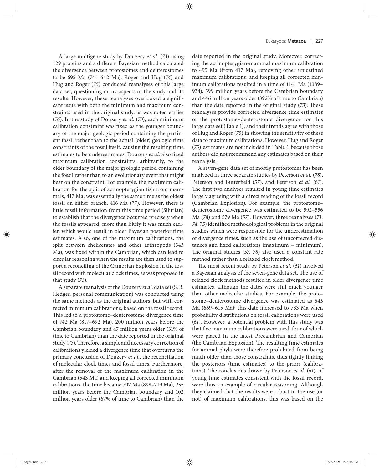A large multigene study by Douzery *et al.* (*73*) using 129 proteins and a different Bayesian method calculated the divergence between protostomes and deuterostomes to be 695 Ma (741-642 Ma). Roger and Hug (74) and Hug and Roger (*75*) conducted reanalyses of this large data set, questioning many aspects of the study and its results. However, these reanalyses overlooked a significant issue with both the minimum and maximum constraints used in the original study, as was noted earlier (*76*). In the study of Douzery *et al.* (*73*), each minimum calibration constraint was fixed as the younger boundary of the major geologic period containing the pertinent fossil rather than to the actual (older) geologic time constraints of the fossil itself, causing the resulting time estimates to be underestimates. Douzery et al. also fixed maximum calibration constraints, arbitrarily, to the older boundary of the major geologic period containing the fossil rather than to an evolutionary event that might bear on the constraint. For example, the maximum calibration for the split of actinopterygian fish from mammals, 417 Ma, was essentially the same time as the oldest fossil on either branch, 416 Ma (*77*). However, there is little fossil information from this time period (Silurian) to establish that the divergence occurred precisely when the fossils appeared; more than likely it was much earlier, which would result in older Bayesian posterior time estimates. Also, one of the maximum calibrations, the split between chelicerates and other arthropods (543 Ma), was fixed within the Cambrian, which can lead to circular reasoning when the results are then used to support a reconciling of the Cambrian Explosion in the fossil record with molecular clock times, as was proposed in that study (*73*).

A separate reanalysis of the Douzery *et al.* data set (S. B. Hedges, personal communication) was conducted using the same methods as the original authors, but with corrected minimum calibrations, based on the fossil record. This led to a protostome–deuterostome divergence time of 742 Ma (817–692 Ma), 200 million years before the Cambrian boundary and 47 million years older (31% of time to Cambrian) than the date reported in the original study (73). Therefore, a simple and necessary correction of calibrations yielded a divergence time that overturns the primary conclusion of Douzery *et al.*, the reconciliation of molecular clock times and fossil times. Furthermore, after the removal of the maximum calibration in the Cambrian (543 Ma) and keeping all corrected minimum calibrations, the time became 797 Ma (898–719 Ma), 255 million years before the Cambrian boundary and 102 million years older (67% of time to Cambrian) than the

date reported in the original study. Moreover, correcting the actinopterygian-mammal maximum calibration to 495 Ma (from 417 Ma), removing other unjustified maximum calibrations, and keeping all corrected minimum calibrations resulted in a time of 1141 Ma (1389– 934), 599 million years before the Cambrian boundary and 446 million years older (392% of time to Cambrian) than the date reported in the original study (73). These reanalyses provide corrected divergence time estimates of the protostome–deuterostome divergence for this large data set (Table 1), and their trends agree with those of Hug and Roger (*75*) in showing the sensitivity of these data to maximum calibrations. However, Hug and Roger (*75*) estimates are not included in Table 1 because those authors did not recommend any estimates based on their reanalysis.

A seven-gene data set of mostly protostomes has been analyzed in three separate studies by Peterson *et al.* (*78*), Peterson and Butterfield (57), and Peterson *et al.* (61). The first two analyses resulted in young time estimates largely agreeing with a direct reading of the fossil record (Cambrian Explosion). For example, the protostome– deuterostome divergence was estimated to be 592-556 Ma (*78*) and 579 Ma (*57*). However, three reanalyses (*71,*  74, 75) identified methodological problems in the original studies which were responsible for the underestimation of divergence times, such as the use of uncorrected distances and fixed calibrations (maximum  $=$  minimum). The original studies (57, 78) also used a constant rate method rather than a relaxed clock method.

The most recent study by Peterson et al. (61) involved a Bayesian analysis of the seven-gene data set. The use of relaxed clock methods resulted in older divergence time estimates, although the dates were still much younger than other molecular studies. For example, the protostome–deuterostome divergence was estimated as 643 Ma (669–615 Ma); this date increased to 733 Ma when probability distributions on fossil calibrations were used (*61*). However, a potential problem with this study was that five maximum calibrations were used, four of which were placed in the latest Precambrian and Cambrian (the Cambrian Explosion). The resulting time estimates for animal phyla were therefore prohibited from being much older than those constraints, thus tightly linking the posteriors (time estimates) to the priors (calibrations). The conclusions drawn by Peterson et al. (61), of young time estimates consistent with the fossil record, were thus an example of circular reasoning. Although they claimed that the results were robust to the use (or not) of maximum calibrations, this was based on the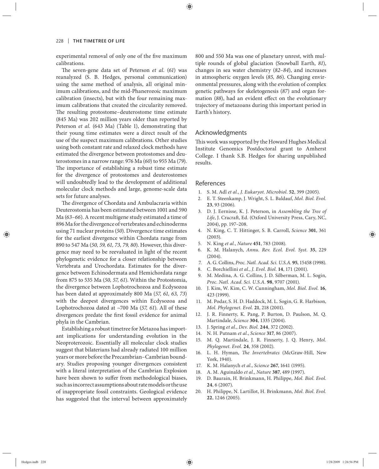experimental removal of only one of the five maximum calibrations.

The seven-gene data set of Peterson *et al.* (61) was reanalyzed (S. B. Hedges, personal communication) using the same method of analysis, all original minimum calibrations, and the mid-Phanerozoic maximum calibration (insects), but with the four remaining maximum calibrations that created the circularity removed. The resulting protostome-deuterostome time estimate (845 Ma) was 202 million years older than reported by Peterson *et al.* (643 Ma) (Table 1), demonstrating that their young time estimates were a direct result of the use of the suspect maximum calibrations. Other studies using both constant rate and relaxed clock methods have estimated the divergence between protostomes and deuterostomes in a narrow range: 976 Ma (*60*) to 955 Ma (*79*). The importance of establishing a robust time estimate for the divergence of protostomes and deuterostomes will undoubtedly lead to the development of additional molecular clock methods and large, genome-scale data sets for future analyses.

The divergence of Chordata and Ambulacraria within Deuterostomia has been estimated between 1001 and 590 Ma (*63–66*). A recent multigene study estimated a time of 896 Ma for the divergence of vertebrates and echinoderms using 71 nuclear proteins (*50*). Divergence time estimates for the earliest divergence within Chordata range from 890 to 547 Ma (*50, 59, 61, 73, 79, 80*). However, this divergence may need to be reevaluated in light of the recent phylogenetic evidence for a closer relationship between Vertebrata and Urochordata. Estimates for the divergence between Echinodermata and Hemichordata range from 875 to 535 Ma (*50, 57, 61*). Within the Protostomia, the divergence between Lophotrochozoa and Ecdysozoa has been dated at approximately 800 Ma (*57, 61, 63, 73*) with the deepest divergences within Ecdysozoa and Lophotrochozoa dated at ~700 Ma (*57, 61*). All of these divergences predate the first fossil evidence for animal phyla in the Cambrian.

Establishing a robust timetree for Metazoa has important implications for understanding evolution in the Neoproterozoic. Essentially all molecular clock studies suggest that bilaterians had already radiated 100 million years or more before the Precambrian–Cambrian boundary. Studies proposing younger divergences consistent with a literal interpretation of the Cambrian Explosion have been shown to suffer from methodological biases, such as incorrect assumptions about rate models or the use of inappropriate fossil constraints. Geological evidence has suggested that the interval between approximately 800 and 550 Ma was one of planetary unrest, with multiple rounds of global glaciation (Snowball Earth, *81*), changes in sea water chemistry (*82–84*), and increases in atmospheric oxygen levels (*85, 86*). Changing environmental pressures, along with the evolution of complex genetic pathways for skeletogenesis (*87*) and organ formation (88), had an evident effect on the evolutionary trajectory of metazoans during this important period in Earth's history**.**

### Acknowledgments

This work was supported by the Howard Hughes Medical Institute Genomics Postdoctoral grant to Amherst College. I thank S.B. Hedges for sharing unpublished results.

#### References

- 1. S. M. Adl *et al.*, *J. Eukaryot. Microbiol.* **52**, 399 (2005).
- 2. E. T. Steenkamp, J. Wright, S. L. Baldauf, *Mol. Biol. Evol.* **23**, 93 (2006).
- 3. D. J. Eernisse, K. J. Peterson, in *Assembling the Tree of*  Life, J. Cracraft, Ed. (Oxford University Press, Cary, NC, 2004), pp. 197–208.
- 4. N. King, C. T. Hittinger, S. B. Carroll, *Science* **301**, 361 (2003).
- 5. N. King *et al.*, *Nature* **451**, 783 (2008).
- 6. K. M. Halanych, *Annu. Rev. Ecol. Evol. Syst.* **35**, 229 (2004).
- 7. A. G. Collins, *Proc. Natl. Acad. Sci. U.S.A.* **95**, 15458 (1998).
- 8. C. Borchiellini *et al.*, *J. Evol. Biol.* **14**, 171 (2001).
- 9. M. Medina, A. G. Collins, J. D. Silberman, M. L. Sogin, *Proc. Natl. Acad. Sci. U.S.A.* **98**, 9707 (2001).
- 10. J. Kim, W. Kim, C. W. Cunningham, *Mol. Biol. Evol.* **16**, 423 (1999).
- 11. M. Podar, S. H. D. Haddock, M. L. Sogin, G. R. Harbison, *Mol. Phylogenet. Evol.* **21**, 218 (2001).
- 12. J. R. Finnerty, K. Pang, P. Burton, D. Paulson, M. Q. Martindale, *Science* **304**, 1335 (2004).
- 13. J. Spring *et al.*, *Dev. Biol.* **244**, 372 (2002).
- 14. N. H. Putnam *et al.*, *Science* **317**, 86 (2007).
- 15. M. Q. Martindale, J. R. Finnerty, J. Q. Henry, *Mol. Phylogenet. Evol.* **24**, 358 (2002).
- 16. L. H. Hyman, *The Invertebrates* (McGraw-Hill, New York, 1940).
- 17. K. M. Halanych *et al.*, *Science* **267**, 1641 (1995).
- 18. A. M. Aguinaldo *et al.*, *Nature* **387**, 489 (1997).
- 19. D. Baurain, H. Brinkmann, H. Philippe, *Mol. Biol. Evol.* **24**, 6 (2007).
- 20. H. Philippe, N. Lartillot, H. Brinkmann, *Mol. Biol. Evol.* **22**, 1246 (2005).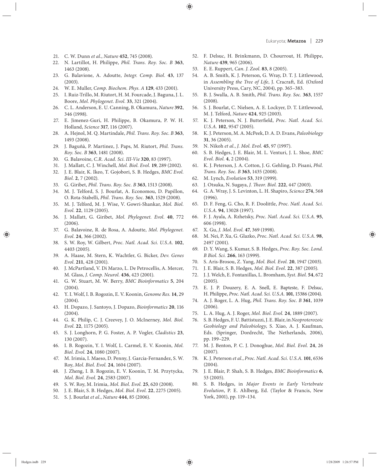- 21. C. W. Dunn *et al.*, *Nature* **452**, 745 (2008).
- 22. N. Lartillot, H. Philippe, *Phil. Trans. Roy. Soc. B* **363**, 1463 (2008).
- 23. G. Balavione, A. Adoutte, *Integr. Comp. Biol.* **43**, 137 (2003).
- 24. W. E. Muller, *Comp. Biochem. Phys. A* **129**, 433 (2001).
- 25. I. Ruiz-Trillo, M. Riutort, H. M. Fourcade, J. Baguna, J. L. Boore, *Mol. Phylogenet. Evol.* **33**, 321 (2004).
- 26. C. L. Anderson, E. U. Canning, B. Okamura, *Nature* **392**, 346 (1998).
- 27. E. Jimenez-Guri, H. Philippe, B. Okamura, P. W. H. Holland, *Science* **317**, 116 (2007).
- 28. A. Hejnol, M. Q. Martindale, *Phil. Trans. Roy. Soc. B* **363**, 1493 (2008).
- 29. J. Baguñà, P. Martinez, J. Paps, M. Riutort, *Phil. Trans. Roy. Soc. B* **363**, 1481 (2008).
- 30. G. Balavoine, *C.R. Acad. Sci. III-Vie* **320**, 83 (1997).
- 31. J. Mallatt, C. J. Winchell, *Mol. Biol. Evol.* **19**, 289 (2002).
- 32. J. E. Blair, K. Ikeo, T. Gojobori, S. B. Hedges, *BMC Evol. Biol.* **2**, 7 (2002).
- 33. G. Giribet, *Phil. Trans. Roy. Soc. B* **363**, 1513 (2008).
- 34. M. J. Telford, S. J. Bourlat, A. Economou, D. Papillon, O. Rota-Stabelli, *Phil. Trans. Roy. Soc.* **363**, 1529 (2008).
- 35. M. J. Telford, M. J. Wise, V. Gowri-Shankar, *Mol. Biol. Evol.* **22**, 1129 (2005).
- 36. J. Mallatt, G. Giribet, *Mol. Phylogenet. Evol.* **40**, 772 (2006).
- 37. G. Balavoine, R. de Rosa, A. Adoutte, *Mol. Phylogenet. Evol.* **24**, 366 (2002).
- 38. S. W. Roy, W. Gilbert, *Proc. Natl. Acad. Sci. U.S.A.* **102**, 4403 (2005).
- 39. A. Haase, M. Stern, K. Wachtler, G. Bicker, *Dev. Genes Evol.* **211**, 428 (2001).
- 40. J. McPartland, V. Di Marzo, L. De Petrocellis, A. Mercer, M. Glass, *J. Comp. Neurol.* **436**, 423 (2001).
- 41. G. W. Stuart, M. W. Berry, *BMC Bioinformatics* 5, 204 (2004).
- 42. Y. I. Wolf, I. B. Rogozin, E. V. Koonin, *Genome Res.* **14**, 29 (2004).
- 43. H. Dopazo, J. Santoyo, J. Dopazo, *Bioinformatics* **20**, 116 (2004).
- 44. G. K. Philip, C. J. Creevey, J. O. McInerney, *Mol. Biol. Evol.* **22**, 1175 (2005).
- 45. S. J. Longhorn, P. G. Foster, A. P. Vogler, *Cladistics* **23**, 130 (2007).
- 46. I. B. Rogozin, Y. I. Wolf, L. Carmel, E. V. Koonin, *Mol. Biol. Evol.* **24**, 1080 (2007).
- 47. M. Irimia, I. Maeso, D. Penny, J. Garcia-Fernandez, S. W. Roy, *Mol. Biol. Evol.* **24**, 1604 (2007).
- 48. J. Zheng, I. B. Rogozin, E. V. Koonin, T. M. Przytycka, *Mol. Biol. Evol.* **24**, 2583 (2007).
- 49. S. W. Roy, M. Irimia, *Mol. Biol. Evol.* **25**, 620 (2008).
- 50. J. E. Blair, S. B. Hedges, *Mol. Biol. Evol.* **22**, 2275 (2005).
- 51. S. J. Bourlat *et al.*, *Nature* **444**, 85 (2006).
- 52. F. Delsuc, H. Brinkmann, D. Chourrout, H. Philippe, *Nature* **439**, 965 (2006).
- 53. E. E. Ruppert, *Can. J. Zool.* **83**, 8 (2005).
- 54. A. B. Smith, K. J. Peterson, G. Wray, D. T. J. Littlewood, in *Assembling the Tree of Life*, J. Cracraft, Ed. (Oxford University Press, Cary, NC, 2004), pp. 365–383.
- 55. B. J. Swalla, A. B. Smith, *Phil. Trans. Roy. Soc.* **363**, 1557 (2008).
- 56. S. J. Bourlat, C. Nielsen, A. E. Lockyer, D. T. Littlewood, M. J. Telford, *Nature* **424**, 925 (2003).
- 57. K. J. Peterson, N. J. Butterfield, Proc. Natl. Acad. Sci. *U.S.A.* **102**, 9547 (2005).
- 58. K. J. Peterson, M. A. McPeek, D. A. D. Evans, *Paleobiology* **31**, 36 (2005).
- 59. N. Nikoh *et al.*, *J. Mol. Evol.* **45**, 97 (1997).
- 60. S. B. Hedges, J. E. Blair, M. L. Venturi, J. L. Shoe, *BMC Evol. Biol.* **4**, 2 (2004).
- 61. K. J. Peterson, J. A. Cotton, J. G. Gehling, D. Pisani, *Phil. Trans. Roy. Soc. B* **363**, 1435 (2008).
- 62. M. Lynch, *Evolution* **53**, 319 (1999).
- 63. J. Otsuka, N. Sugaya, *J. Theor. Biol.* **222**, 447 (2003).
- 64. G. A. Wray, J. S. Levinton, L. H. Shapiro, *Science* **274**, 568 (1996).
- 65. D. F. Feng, G. Cho, R. F. Doolittle, *Proc. Natl. Acad. Sci. U.S.A.* **94**, 13028 (1997).
- 66. F. J. Ayala, A. Rzhetsky, *Proc. Natl. Acad. Sci. U.S.A.* **95**, 606 (1998).
- 67. X. Gu, *J. Mol. Evol.* **47**, 369 (1998).
- 68. M. Nei, P. Xu, G. Glazko, *Proc. Natl. Acad. Sci. U.S.A.* **98**, 2497 (2001).
- 69. D. Y. Wang, S. Kumar, S. B. Hedges, *Proc. Roy. Soc. Lond. B Biol. Sci.* **266**, 163 (1999).
- 70. S. Aris-Brosou, Z. Yang, *Mol. Biol. Evol.* **20**, 1947 (2003).
- 71. J. E. Blair, S. B. Hedges, *Mol. Biol. Evol.* **22**, 387 (2005).
- 72. J. J. Welch, E. Fontanillas, L. Bromham, *Syst. Biol.* **54**, 672 (2005).
- 73. E. J. P. Douzery, E. A. Snell, E. Bapteste, F. Delsuc, H. Philippe, *Proc. Natl. Acad. Sci. U.S.A.* **101**, 15386 (2004).
- 74. A. J. Roger, L. A. Hug, *Phil. Trans. Roy. Soc. B* **361**, 1039 (2006).
- 75. L. A. Hug, A. J. Roger, *Mol. Biol. Evol.* **24**, 1889 (2007).
- 76. S. B. Hedges, F. U. Battistuzzi, J. E. Blair, in *Neoproterozoic*  Geobiology and Paleobiology, S. Xiao, A. J. Kaufman, Eds. (Springer, Dordrecht, The Netherlands, 2006), pp. 199–229.
- 77. M. J. Benton, P. C. J. Donoghue, *Mol. Biol. Evol.* **24**, 26 (2007).
- 78. K. J. Peterson *et al.*, *Proc. Natl. Acad. Sci. U.S.A.* **101**, 6536 (2004).
- 79. J. E. Blair, P. Shah, S. B. Hedges, *BMC Bioinformatics* **6**, 53 (2005).
- 80. S. B. Hedges, in *Major Events in Early Vertebrate Evolution*, P. E. Ahlberg, Ed. (Taylor & Francis, New York, 2001), pp. 119–134.